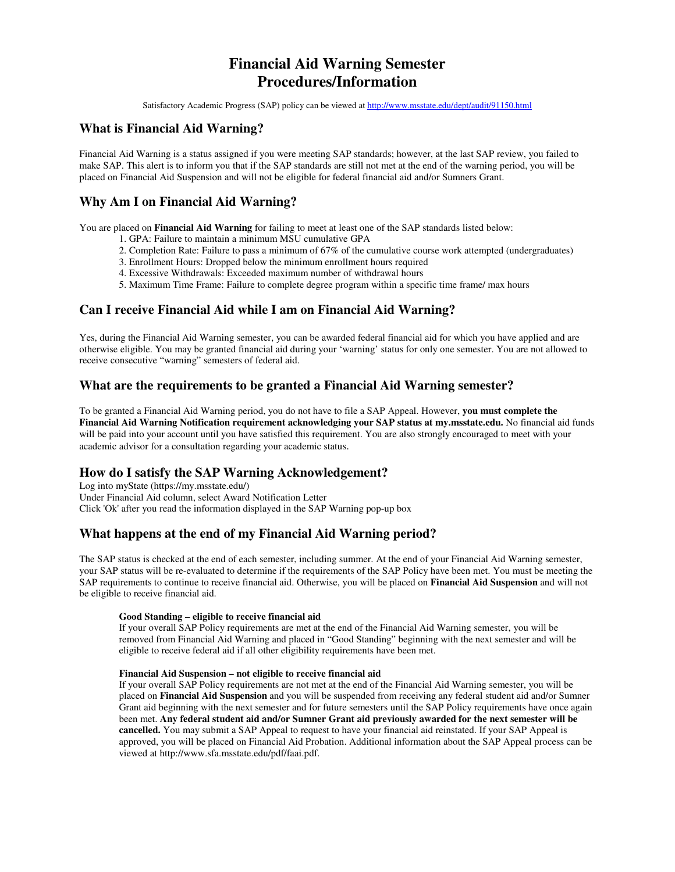# **Financial Aid Warning Semester Procedures/Information**

Satisfactory Academic Progress (SAP) policy can be viewed at http://www.msstate.edu/dept/audit/91150.html

# **What is Financial Aid Warning?**

Financial Aid Warning is a status assigned if you were meeting SAP standards; however, at the last SAP review, you failed to make SAP. This alert is to inform you that if the SAP standards are still not met at the end of the warning period, you will be placed on Financial Aid Suspension and will not be eligible for federal financial aid and/or Sumners Grant.

# **Why Am I on Financial Aid Warning?**

You are placed on **Financial Aid Warning** for failing to meet at least one of the SAP standards listed below:

- 1. GPA: Failure to maintain a minimum MSU cumulative GPA
- 2. Completion Rate: Failure to pass a minimum of 67% of the cumulative course work attempted (undergraduates)
- 3. Enrollment Hours: Dropped below the minimum enrollment hours required
- 4. Excessive Withdrawals: Exceeded maximum number of withdrawal hours
- 5. Maximum Time Frame: Failure to complete degree program within a specific time frame/ max hours

### **Can I receive Financial Aid while I am on Financial Aid Warning?**

Yes, during the Financial Aid Warning semester, you can be awarded federal financial aid for which you have applied and are otherwise eligible. You may be granted financial aid during your 'warning' status for only one semester. You are not allowed to receive consecutive "warning" semesters of federal aid.

### **What are the requirements to be granted a Financial Aid Warning semester?**

To be granted a Financial Aid Warning period, you do not have to file a SAP Appeal. However, **you must complete the Financial Aid Warning Notification requirement acknowledging your SAP status at my.msstate.edu.** No financial aid funds will be paid into your account until you have satisfied this requirement. You are also strongly encouraged to meet with your academic advisor for a consultation regarding your academic status.

### **How do I satisfy the SAP Warning Acknowledgement?**

Log into myState (https://my.msstate.edu/) Under Financial Aid column, select Award Notification Letter Click 'Ok' after you read the information displayed in the SAP Warning pop-up box

# **What happens at the end of my Financial Aid Warning period?**

The SAP status is checked at the end of each semester, including summer. At the end of your Financial Aid Warning semester, your SAP status will be re-evaluated to determine if the requirements of the SAP Policy have been met. You must be meeting the SAP requirements to continue to receive financial aid. Otherwise, you will be placed on **Financial Aid Suspension** and will not be eligible to receive financial aid.

#### **Good Standing – eligible to receive financial aid**

If your overall SAP Policy requirements are met at the end of the Financial Aid Warning semester, you will be removed from Financial Aid Warning and placed in "Good Standing" beginning with the next semester and will be eligible to receive federal aid if all other eligibility requirements have been met.

#### **Financial Aid Suspension – not eligible to receive financial aid**

If your overall SAP Policy requirements are not met at the end of the Financial Aid Warning semester, you will be placed on **Financial Aid Suspension** and you will be suspended from receiving any federal student aid and/or Sumner Grant aid beginning with the next semester and for future semesters until the SAP Policy requirements have once again been met. **Any federal student aid and/or Sumner Grant aid previously awarded for the next semester will be cancelled.** You may submit a SAP Appeal to request to have your financial aid reinstated. If your SAP Appeal is approved, you will be placed on Financial Aid Probation. Additional information about the SAP Appeal process can be viewed at http://www.sfa.msstate.edu/pdf/faai.pdf.